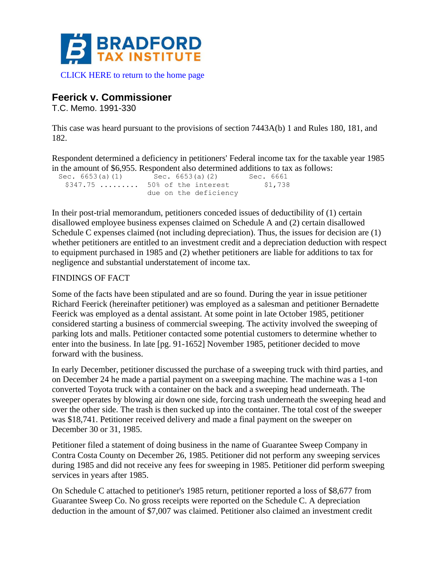

## [CLICK HERE to return to the home page](https://www.bradfordtaxinstitute.com)

## **Feerick v. Commissioner**

T.C. Memo. 1991-330

This case was heard pursuant to the provisions of section 7443A(b) 1 and Rules 180, 181, and 182.

Respondent determined a deficiency in petitioners' Federal income tax for the taxable year 1985 in the amount of \$6,955. Respondent also determined additions to tax as follows:

| Sec. $6653(a) (1)$ | Sec. 6653(a)(2)                  | Sec. 6661 |
|--------------------|----------------------------------|-----------|
|                    | $$347.75$ $50\%$ of the interest | \$1,738   |
|                    | due on the deficiency            |           |

In their post-trial memorandum, petitioners conceded issues of deductibility of (1) certain disallowed employee business expenses claimed on Schedule A and (2) certain disallowed Schedule C expenses claimed (not including depreciation). Thus, the issues for decision are (1) whether petitioners are entitled to an investment credit and a depreciation deduction with respect to equipment purchased in 1985 and (2) whether petitioners are liable for additions to tax for negligence and substantial understatement of income tax.

## FINDINGS OF FACT

Some of the facts have been stipulated and are so found. During the year in issue petitioner Richard Feerick (hereinafter petitioner) was employed as a salesman and petitioner Bernadette Feerick was employed as a dental assistant. At some point in late October 1985, petitioner considered starting a business of commercial sweeping. The activity involved the sweeping of parking lots and malls. Petitioner contacted some potential customers to determine whether to enter into the business. In late [pg. 91-1652] November 1985, petitioner decided to move forward with the business.

In early December, petitioner discussed the purchase of a sweeping truck with third parties, and on December 24 he made a partial payment on a sweeping machine. The machine was a 1-ton converted Toyota truck with a container on the back and a sweeping head underneath. The sweeper operates by blowing air down one side, forcing trash underneath the sweeping head and over the other side. The trash is then sucked up into the container. The total cost of the sweeper was \$18,741. Petitioner received delivery and made a final payment on the sweeper on December 30 or 31, 1985.

Petitioner filed a statement of doing business in the name of Guarantee Sweep Company in Contra Costa County on December 26, 1985. Petitioner did not perform any sweeping services during 1985 and did not receive any fees for sweeping in 1985. Petitioner did perform sweeping services in years after 1985.

On Schedule C attached to petitioner's 1985 return, petitioner reported a loss of \$8,677 from Guarantee Sweep Co. No gross receipts were reported on the Schedule C. A depreciation deduction in the amount of \$7,007 was claimed. Petitioner also claimed an investment credit